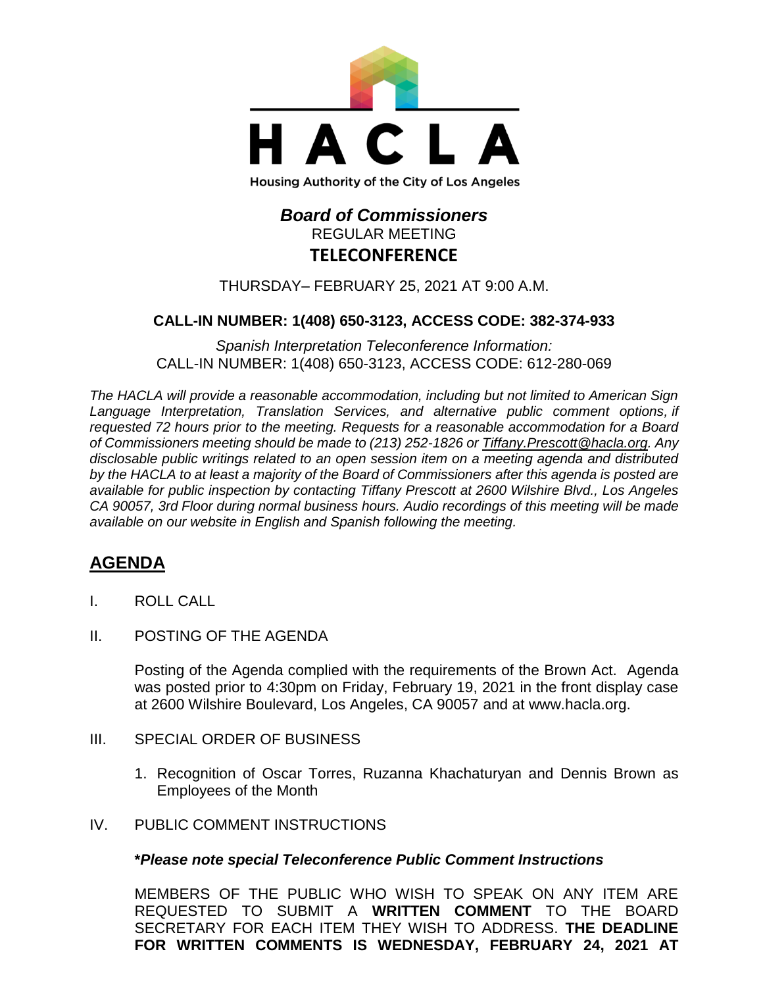

# *Board of Commissioners* REGULAR MEETING **TELECONFERENCE**

THURSDAY– FEBRUARY 25, 2021 AT 9:00 A.M.

### **CALL-IN NUMBER: 1(408) 650-3123, ACCESS CODE: 382-374-933**

*Spanish Interpretation Teleconference Information:* CALL-IN NUMBER: 1(408) 650-3123, ACCESS CODE: 612-280-069

*The HACLA will provide a reasonable accommodation, including but not limited to American Sign Language Interpretation, Translation Services, and alternative public comment options, if requested 72 hours prior to the meeting. Requests for a reasonable accommodation for a Board of Commissioners meeting should be made to (213) 252-1826 or Tiffany.Prescott@hacla.org. Any disclosable public writings related to an open session item on a meeting agenda and distributed by the HACLA to at least a majority of the Board of Commissioners after this agenda is posted are available for public inspection by contacting Tiffany Prescott at 2600 Wilshire Blvd., Los Angeles CA 90057, 3rd Floor during normal business hours. Audio recordings of this meeting will be made available on our website in English and Spanish following the meeting.*

# **AGENDA**

- I. ROLL CALL
- II. POSTING OF THE AGENDA

Posting of the Agenda complied with the requirements of the Brown Act. Agenda was posted prior to 4:30pm on Friday, February 19, 2021 in the front display case at 2600 Wilshire Boulevard, Los Angeles, CA 90057 and at [www.hacla.org.](http://www.hacla.org/)

- III. SPECIAL ORDER OF BUSINESS
	- 1. Recognition of Oscar Torres, Ruzanna Khachaturyan and Dennis Brown as Employees of the Month
- IV. PUBLIC COMMENT INSTRUCTIONS

#### **\****Please note special Teleconference Public Comment Instructions*

MEMBERS OF THE PUBLIC WHO WISH TO SPEAK ON ANY ITEM ARE REQUESTED TO SUBMIT A **WRITTEN COMMENT** TO THE BOARD SECRETARY FOR EACH ITEM THEY WISH TO ADDRESS. **THE DEADLINE FOR WRITTEN COMMENTS IS WEDNESDAY, FEBRUARY 24, 2021 AT**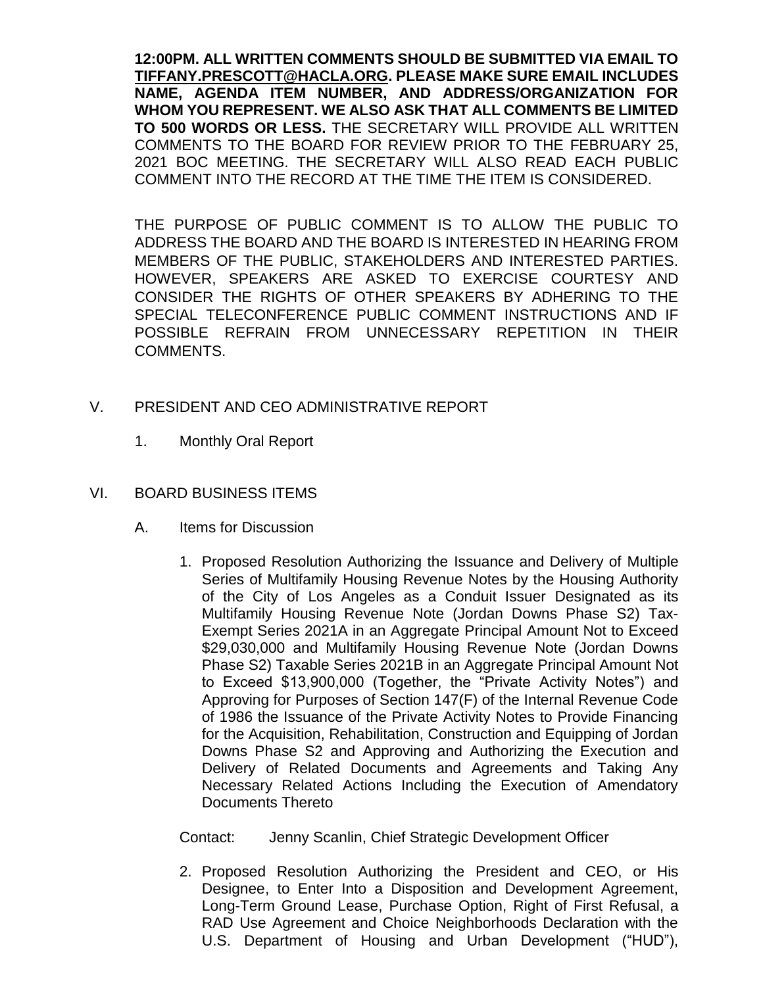**12:00PM. ALL WRITTEN COMMENTS SHOULD BE SUBMITTED VIA EMAIL TO [TIFFANY.PRESCOTT@HACLA.ORG.](mailto:TIFFANY.PRESCOTT@HACLA.ORG) PLEASE MAKE SURE EMAIL INCLUDES NAME, AGENDA ITEM NUMBER, AND ADDRESS/ORGANIZATION FOR WHOM YOU REPRESENT. WE ALSO ASK THAT ALL COMMENTS BE LIMITED TO 500 WORDS OR LESS.** THE SECRETARY WILL PROVIDE ALL WRITTEN COMMENTS TO THE BOARD FOR REVIEW PRIOR TO THE FEBRUARY 25, 2021 BOC MEETING. THE SECRETARY WILL ALSO READ EACH PUBLIC COMMENT INTO THE RECORD AT THE TIME THE ITEM IS CONSIDERED.

THE PURPOSE OF PUBLIC COMMENT IS TO ALLOW THE PUBLIC TO ADDRESS THE BOARD AND THE BOARD IS INTERESTED IN HEARING FROM MEMBERS OF THE PUBLIC, STAKEHOLDERS AND INTERESTED PARTIES. HOWEVER, SPEAKERS ARE ASKED TO EXERCISE COURTESY AND CONSIDER THE RIGHTS OF OTHER SPEAKERS BY ADHERING TO THE SPECIAL TELECONFERENCE PUBLIC COMMENT INSTRUCTIONS AND IF POSSIBLE REFRAIN FROM UNNECESSARY REPETITION IN THEIR COMMENTS.

- V. PRESIDENT AND CEO ADMINISTRATIVE REPORT
	- 1. Monthly Oral Report

### VI. BOARD BUSINESS ITEMS

- A. Items for Discussion
	- 1. Proposed Resolution Authorizing the Issuance and Delivery of Multiple Series of Multifamily Housing Revenue Notes by the Housing Authority of the City of Los Angeles as a Conduit Issuer Designated as its Multifamily Housing Revenue Note (Jordan Downs Phase S2) Tax-Exempt Series 2021A in an Aggregate Principal Amount Not to Exceed \$29,030,000 and Multifamily Housing Revenue Note (Jordan Downs Phase S2) Taxable Series 2021B in an Aggregate Principal Amount Not to Exceed \$13,900,000 (Together, the "Private Activity Notes") and Approving for Purposes of Section 147(F) of the Internal Revenue Code of 1986 the Issuance of the Private Activity Notes to Provide Financing for the Acquisition, Rehabilitation, Construction and Equipping of Jordan Downs Phase S2 and Approving and Authorizing the Execution and Delivery of Related Documents and Agreements and Taking Any Necessary Related Actions Including the Execution of Amendatory Documents Thereto

Contact: Jenny Scanlin, Chief Strategic Development Officer

2. Proposed Resolution Authorizing the President and CEO, or His Designee, to Enter Into a Disposition and Development Agreement, Long-Term Ground Lease, Purchase Option, Right of First Refusal, a RAD Use Agreement and Choice Neighborhoods Declaration with the U.S. Department of Housing and Urban Development ("HUD"),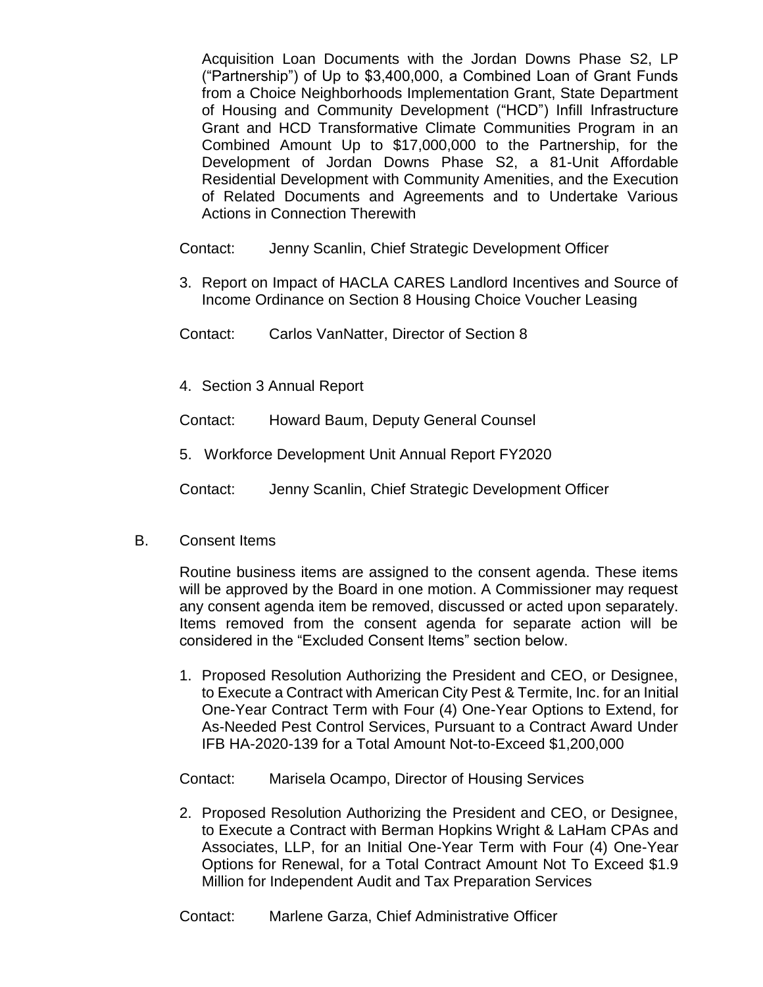Acquisition Loan Documents with the Jordan Downs Phase S2, LP ("Partnership") of Up to \$3,400,000, a Combined Loan of Grant Funds from a Choice Neighborhoods Implementation Grant, State Department of Housing and Community Development ("HCD") Infill Infrastructure Grant and HCD Transformative Climate Communities Program in an Combined Amount Up to \$17,000,000 to the Partnership, for the Development of Jordan Downs Phase S2, a 81-Unit Affordable Residential Development with Community Amenities, and the Execution of Related Documents and Agreements and to Undertake Various Actions in Connection Therewith

Contact: Jenny Scanlin, Chief Strategic Development Officer

- 3. Report on Impact of HACLA CARES Landlord Incentives and Source of Income Ordinance on Section 8 Housing Choice Voucher Leasing
- Contact: Carlos VanNatter, Director of Section 8
- 4. Section 3 Annual Report

Contact: Howard Baum, Deputy General Counsel

5. Workforce Development Unit Annual Report FY2020

Contact: Jenny Scanlin, Chief Strategic Development Officer

B. Consent Items

Routine business items are assigned to the consent agenda. These items will be approved by the Board in one motion. A Commissioner may request any consent agenda item be removed, discussed or acted upon separately. Items removed from the consent agenda for separate action will be considered in the "Excluded Consent Items" section below.

1. Proposed Resolution Authorizing the President and CEO, or Designee, to Execute a Contract with American City Pest & Termite, Inc. for an Initial One-Year Contract Term with Four (4) One-Year Options to Extend, for As-Needed Pest Control Services, Pursuant to a Contract Award Under IFB HA-2020-139 for a Total Amount Not-to-Exceed \$1,200,000

Contact: Marisela Ocampo, Director of Housing Services

2. Proposed Resolution Authorizing the President and CEO, or Designee, to Execute a Contract with Berman Hopkins Wright & LaHam CPAs and Associates, LLP, for an Initial One-Year Term with Four (4) One-Year Options for Renewal, for a Total Contract Amount Not To Exceed \$1.9 Million for Independent Audit and Tax Preparation Services

Contact: Marlene Garza, Chief Administrative Officer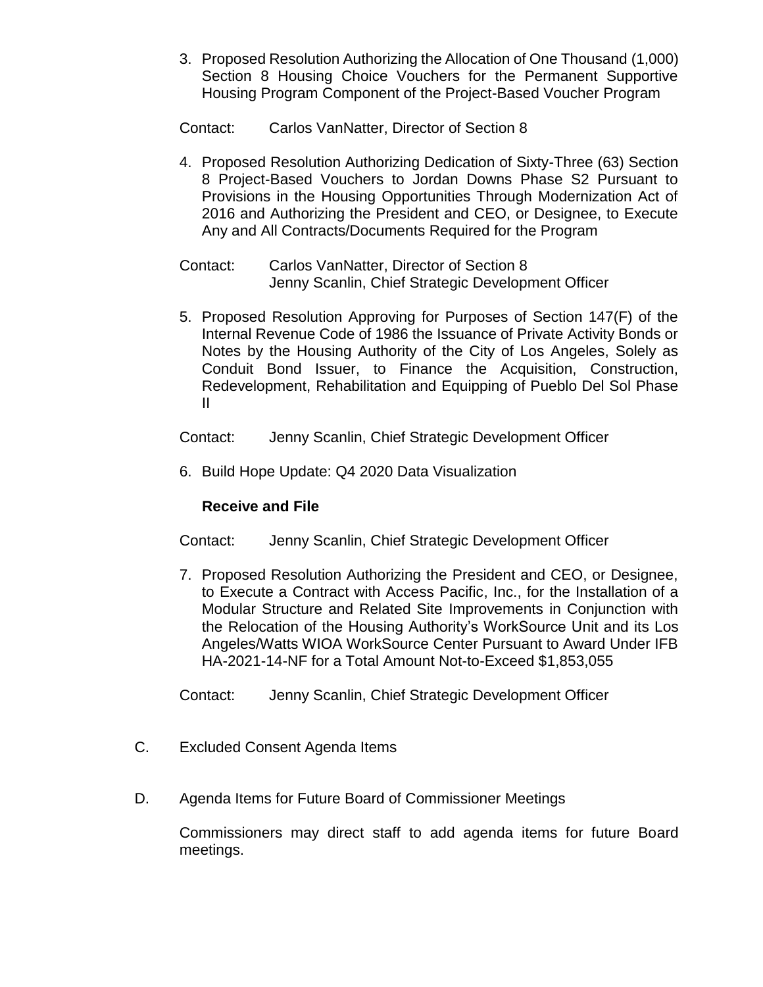3. Proposed Resolution Authorizing the Allocation of One Thousand (1,000) Section 8 Housing Choice Vouchers for the Permanent Supportive Housing Program Component of the Project-Based Voucher Program

Contact: Carlos VanNatter, Director of Section 8

- 4. Proposed Resolution Authorizing Dedication of Sixty-Three (63) Section 8 Project-Based Vouchers to Jordan Downs Phase S2 Pursuant to Provisions in the Housing Opportunities Through Modernization Act of 2016 and Authorizing the President and CEO, or Designee, to Execute Any and All Contracts/Documents Required for the Program
- Contact: Carlos VanNatter, Director of Section 8 Jenny Scanlin, Chief Strategic Development Officer
- 5. Proposed Resolution Approving for Purposes of Section 147(F) of the Internal Revenue Code of 1986 the Issuance of Private Activity Bonds or Notes by the Housing Authority of the City of Los Angeles, Solely as Conduit Bond Issuer, to Finance the Acquisition, Construction, Redevelopment, Rehabilitation and Equipping of Pueblo Del Sol Phase II

Contact: Jenny Scanlin, Chief Strategic Development Officer

6. Build Hope Update: Q4 2020 Data Visualization

## **Receive and File**

- Contact: Jenny Scanlin, Chief Strategic Development Officer
- 7. Proposed Resolution Authorizing the President and CEO, or Designee, to Execute a Contract with Access Pacific, Inc., for the Installation of a Modular Structure and Related Site Improvements in Conjunction with the Relocation of the Housing Authority's WorkSource Unit and its Los Angeles/Watts WIOA WorkSource Center Pursuant to Award Under IFB HA-2021-14-NF for a Total Amount Not-to-Exceed \$1,853,055
- Contact: Jenny Scanlin, Chief Strategic Development Officer
- C. Excluded Consent Agenda Items
- D. Agenda Items for Future Board of Commissioner Meetings

Commissioners may direct staff to add agenda items for future Board meetings.